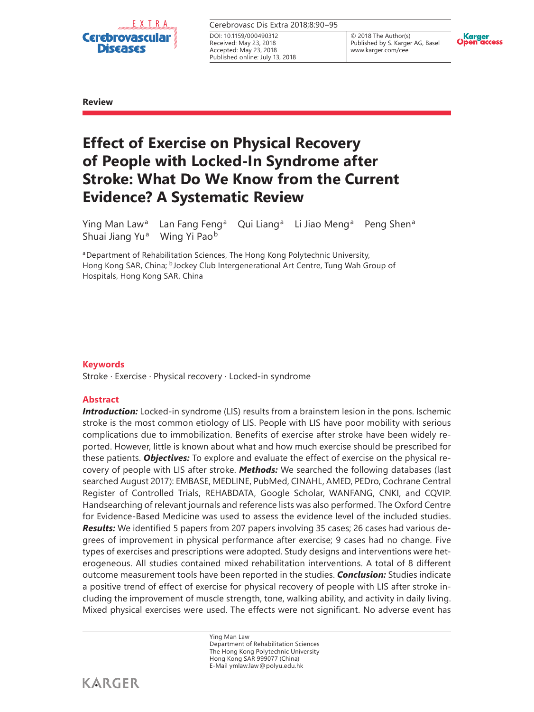

| Cerebrovasc Dis Extra 2018:8:90-95 |  |
|------------------------------------|--|
| DOI: 10.1159/000490312             |  |
| Received: May 23, 2018             |  |
| Accepted: May 23, 2018             |  |

Published online: July 13, 2018

© 2018 The Author(s) Published by S. Karger AG, Basel www.karger.com/cee



**Review**

# **Effect of Exercise on Physical Recovery of People with Locked-In Syndrome after Stroke: What Do We Know from the Current Evidence? A Systematic Review**

Ying Man Law<sup>a</sup> Lan Fang Feng<sup>a</sup> Qui Liang<sup>a</sup> Li Jiao Meng<sup>a</sup> Peng Shen<sup>a</sup> Shuai Jiang Yu<sup>a</sup> Wing Yi Pao<sup>b</sup>

aDepartment of Rehabilitation Sciences, The Hong Kong Polytechnic University, Hong Kong SAR, China; bJockey Club Intergenerational Art Centre, Tung Wah Group of Hospitals, Hong Kong SAR, China

# **Keywords**

Stroke · Exercise · Physical recovery · Locked-in syndrome

# **Abstract**

**Introduction:** Locked-in syndrome (LIS) results from a brainstem lesion in the pons. Ischemic stroke is the most common etiology of LIS. People with LIS have poor mobility with serious complications due to immobilization. Benefits of exercise after stroke have been widely reported. However, little is known about what and how much exercise should be prescribed for these patients. *Objectives:* To explore and evaluate the effect of exercise on the physical recovery of people with LIS after stroke. *Methods:* We searched the following databases (last searched August 2017): EMBASE, MEDLINE, PubMed, CINAHL, AMED, PEDro, Cochrane Central Register of Controlled Trials, REHABDATA, Google Scholar, WANFANG, CNKI, and CQVIP. Handsearching of relevant journals and reference lists was also performed. The Oxford Centre for Evidence-Based Medicine was used to assess the evidence level of the included studies. *Results:* We identified 5 papers from 207 papers involving 35 cases; 26 cases had various degrees of improvement in physical performance after exercise; 9 cases had no change. Five types of exercises and prescriptions were adopted. Study designs and interventions were heterogeneous. All studies contained mixed rehabilitation interventions. A total of 8 different outcome measurement tools have been reported in the studies. *Conclusion:* Studies indicate a positive trend of effect of exercise for physical recovery of people with LIS after stroke including the improvement of muscle strength, tone, walking ability, and activity in daily living. Mixed physical exercises were used. The effects were not significant. No adverse event has

> Ying Man Law Department of Rehabilitation Sciences The Hong Kong Polytechnic University Hong Kong SAR 999077 (China) E-Mail ymlaw.law@polyu.edu.hk

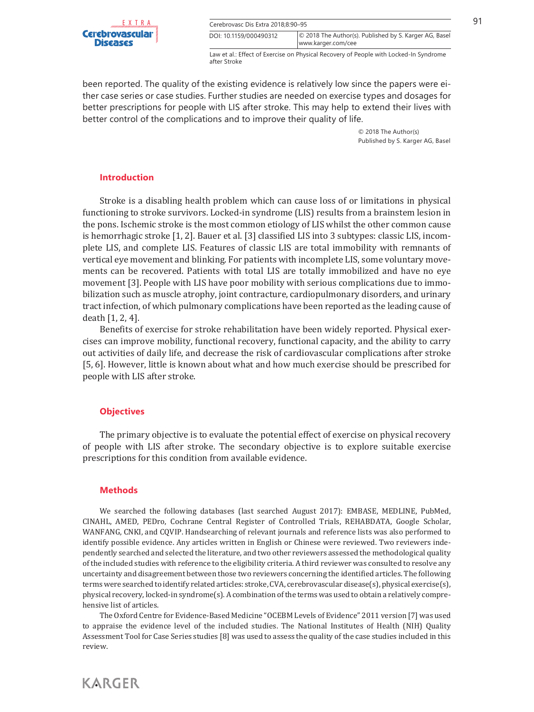

| EXTRA.  | Cerebrovasc Dis Extra 2018:8:90-95 |                                                        |  |
|---------|------------------------------------|--------------------------------------------------------|--|
| ascular | DOI: 10.1159/000490312             | © 2018 The Author(s). Published by S. Karger AG, Basel |  |
| GS      |                                    | www.karger.com/cee                                     |  |

Law et al.: Effect of Exercise on Physical Recovery of People with Locked-In Syndrome after Stroke

been reported. The quality of the existing evidence is relatively low since the papers were either case series or case studies. Further studies are needed on exercise types and dosages for better prescriptions for people with LIS after stroke. This may help to extend their lives with better control of the complications and to improve their quality of life.

> © 2018 The Author(s) Published by S. Karger AG, Basel

## **Introduction**

Stroke is a disabling health problem which can cause loss of or limitations in physical functioning to stroke survivors. Locked-in syndrome (LIS) results from a brainstem lesion in the pons. Ischemic stroke is the most common etiology of LIS whilst the other common cause is hemorrhagic stroke [1, 2]. Bauer et al. [3] classified LIS into 3 subtypes: classic LIS, incomplete LIS, and complete LIS. Features of classic LIS are total immobility with remnants of vertical eye movement and blinking. For patients with incomplete LIS, some voluntary movements can be recovered. Patients with total LIS are totally immobilized and have no eye movement [3]. People with LIS have poor mobility with serious complications due to immobilization such as muscle atrophy, joint contracture, cardiopulmonary disorders, and urinary tract infection, of which pulmonary complications have been reported as the leading cause of death [1, 2, 4].

Benefits of exercise for stroke rehabilitation have been widely reported. Physical exercises can improve mobility, functional recovery, functional capacity, and the ability to carry out activities of daily life, and decrease the risk of cardiovascular complications after stroke [5, 6]. However, little is known about what and how much exercise should be prescribed for people with LIS after stroke.

# **Objectives**

The primary objective is to evaluate the potential effect of exercise on physical recovery of people with LIS after stroke. The secondary objective is to explore suitable exercise prescriptions for this condition from available evidence.

## **Methods**

**KARGER** 

We searched the following databases (last searched August 2017): EMBASE, MEDLINE, PubMed, CINAHL, AMED, PEDro, Cochrane Central Register of Controlled Trials, REHABDATA, Google Scholar, WANFANG, CNKI, and CQVIP. Handsearching of relevant journals and reference lists was also performed to identify possible evidence. Any articles written in English or Chinese were reviewed. Two reviewers independently searched and selected the literature, and two other reviewers assessed the methodological quality of the included studies with reference to the eligibility criteria. A third reviewer was consulted to resolve any uncertainty and disagreement between those two reviewers concerning the identified articles. The following terms were searched to identify related articles: stroke, CVA, cerebrovascular disease(s), physical exercise(s), physical recovery, locked-in syndrome(s). A combination of the terms was used to obtain a relatively comprehensive list of articles.

The Oxford Centre for Evidence-Based Medicine "OCEBM Levels of Evidence" 2011 version [7] was used to appraise the evidence level of the included studies. The National Institutes of Health (NIH) Quality Assessment Tool for Case Series studies [8] was used to assess the quality of the case studies included in this review.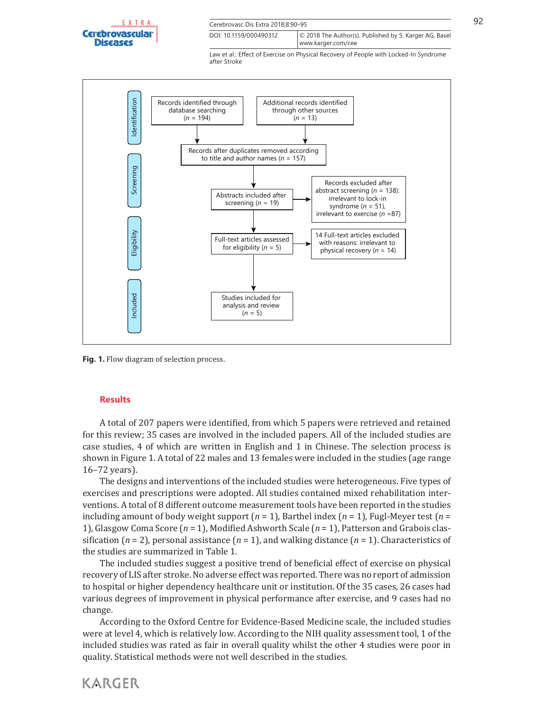

| $E_{\mu\nu}$ Naastaa Raadka | Cerebrovasc Dis Extra 2018:8:90-95 |                                                        |  |
|-----------------------------|------------------------------------|--------------------------------------------------------|--|
| ascular                     | DOI: 10.1159/000490312             | © 2018 The Author(s). Published by S. Karger AG, Basel |  |
| es                          |                                    | www.karger.com/cee                                     |  |

Law et al.: Effect of Exercise on Physical Recovery of People with Locked-In Syndrome after Stroke



Fig. 1. Flow diagram of selection process.

## **Results**

**KARGER** 

A total of 207 papers were identified, from which 5 papers were retrieved and retained for this review; 35 cases are involved in the included papers. All of the included studies are case studies, 4 of which are written in English and 1 in Chinese. The selection process is shown in Figure 1. A total of 22 males and 13 females were included in the studies (age range 16–72 years).

The designs and interventions of the included studies were heterogeneous. Five types of exercises and prescriptions were adopted. All studies contained mixed rehabilitation interventions. A total of 8 different outcome measurement tools have been reported in the studies including amount of body weight support (*n* = 1), Barthel index (*n* = 1), Fugl-Meyer test (*n* = 1), Glasgow Coma Score (*n* = 1), Modified Ashworth Scale (*n* = 1), Patterson and Grabois classification (*n* = 2), personal assistance (*n* = 1), and walking distance (*n* = 1). Characteristics of the studies are summarized in Table 1.

The included studies suggest a positive trend of beneficial effect of exercise on physical recovery of LIS after stroke. No adverse effect was reported. There was no report of admission to hospital or higher dependency healthcare unit or institution. Of the 35 cases, 26 cases had various degrees of improvement in physical performance after exercise, and 9 cases had no change.

According to the Oxford Centre for Evidence-Based Medicine scale, the included studies were at level 4, which is relatively low. According to the NIH quality assessment tool, 1 of the included studies was rated as fair in overall quality whilst the other 4 studies were poor in quality. Statistical methods were not well described in the studies.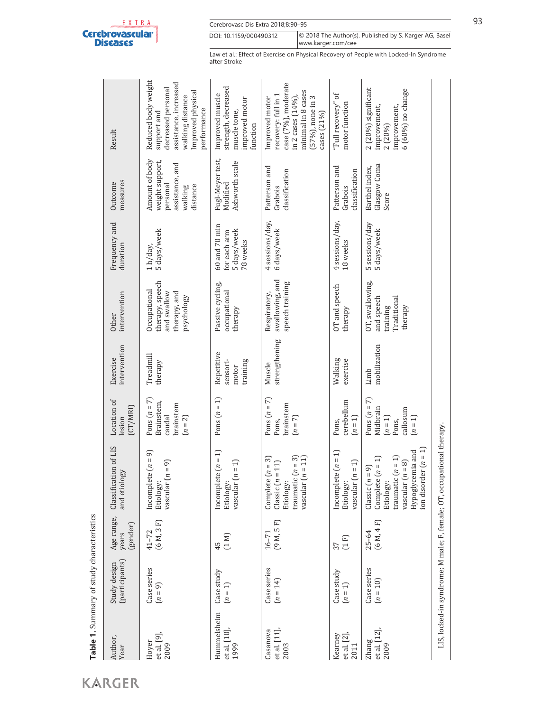| <b>Discases</b> |  |
|-----------------|--|

Cerebrovasc Dis Extra 2018;8:90-95 93 www.karger.com/cee DOI: 10.1159/000490312 © 2018 The Author(s). Published by S. Karger AG, Basel

Law et al.: Effect of Exercise on Physical Recovery of People with Locked-In Syndrome after Stroke

| Author,<br>Year                    | (participants)<br>Study design | Age range,<br>(gender)<br>years | Classification of LIS<br>$\overline{28}$<br>and etiolo                                                                                                            | Location of<br>(CT/MRI)<br>lesion                                         | intervention<br>Exercise                    | intervention<br>Other                                                        | Frequency and<br>duration                                    | measures<br>Outcome                                                                     | Result                                                                                                                                     |
|------------------------------------|--------------------------------|---------------------------------|-------------------------------------------------------------------------------------------------------------------------------------------------------------------|---------------------------------------------------------------------------|---------------------------------------------|------------------------------------------------------------------------------|--------------------------------------------------------------|-----------------------------------------------------------------------------------------|--------------------------------------------------------------------------------------------------------------------------------------------|
| et al. [9],<br>Hoyer<br>2009       | Case series<br>$(n = 9)$       | (6M, 3F)<br>$41 - 72$           | Incomplete $(n = 9)$<br>$(n = n)$<br>vascular<br>Etiology:                                                                                                        | Pons $(n = 7)$<br>Brainstem,<br>brainstem<br>caudal<br>$(n = 2)$          | Treadmill<br>therapy                        | therapy, speech<br>Occupational<br>and swallow<br>therapy, and<br>psychology | 5 days/week<br>1h/day,                                       | Amount of body<br>weight support,<br>assistance, and<br>personal<br>distance<br>walking | Reduced body weight<br>assistance, increased<br>decreased personal<br>Improved physical<br>walking distance<br>performance<br>support and  |
| Hummelsheim<br>et al. [10]<br>1999 | Case study<br>$(n = 1)$        | (1 M)<br>45                     | Incomplete $(n = 1)$<br>$(n = 1)$<br>vascular<br>Etiology:                                                                                                        | Pons $(n = 1)$                                                            | Repetitive<br>sensori-<br>training<br>motor | Passive cycling,<br>occupational<br>therapy                                  | $60$ and $70$ min<br>5 days/week<br>for each arm<br>78 weeks | Fugl-Meyer test,<br>Ashworth scale<br>Modified                                          | strength, decreased<br>Improved muscle<br>improved motor<br>muscle tone,<br>function                                                       |
| Casanova<br>et al. [11]<br>2003    | Case series<br>$(n = 14)$      | (9M, 5F)<br>$16 - 71$           | traumatic $(n = 3)$<br>$n = 11$<br>Complete $(n = 3)$<br>$=11$<br>Classic(n)<br>Etiology:<br>vascular                                                             | Pons $(n = 7)$<br>brainstem<br>$(n = 7)$<br>Pons,                         | strengthening<br>Muscle                     | swallowing, and<br>speech training<br>Respiratory,                           | 4 sessions/day,<br>6 days/week                               | Patterson and<br>classification<br>Grabois                                              | case (7%), moderate<br>minimal in 8 cases<br>recovery: full in 1<br>in 2 cases (14%),<br>[57%], none in 3<br>Improved motor<br>cases (21%) |
| et al. [2]<br>Kearney<br>2011      | Case study<br>$(n = 1)$        | (1F)<br>37                      | $x(n = 1)$<br>$(n = 1)$<br>Incomplet<br>vascular<br>Etiology:                                                                                                     | cerebellum<br>$(n = 1)$<br>Pons,                                          | Walking<br>exercise                         | OT and speech<br>therapy                                                     | 4 sessions/day,<br>18 weeks                                  | Patterson and<br>classification<br>Grabois                                              | $\sigma$ f<br>"Full recovery"<br>motor function                                                                                            |
| et al. [12]<br>Zhang<br>2009       | Case series<br>$(n = 10)$      | (6 M, 4 F)<br>$25 - 64$         | $\text{ler}(n=1)$<br>Hypoglycemia and<br>traumatic $(n = 1)$<br>$(n = 1)$<br>$(n = 8)$<br>$= 9$<br>Complete<br>vascular (<br>on disord<br>Classic(n)<br>Etiology: | Pons $(n = 7)$<br>Midbrain<br>callosum<br>$(n = 1)$<br>$(n = 1)$<br>Pons, | mobilization<br>Limb                        | OT, swallowing,<br>and speech<br>Traditional<br>training<br>therapy          | 5 sessions/day<br>5 days/week                                | Glasgow Coma<br>Barthel index,<br>Score                                                 | $2(20%)$ significant<br>6 (60%) no change<br>improvement,<br>improvement,<br>2 (20%)                                                       |
|                                    |                                |                                 | LIS, locked-in syndrome; M male; F, female; OT, occupational therapy.                                                                                             |                                                                           |                                             |                                                                              |                                                              |                                                                                         |                                                                                                                                            |

KARGER

**Table 1.** Summary of study characteristics

Table 1. Summary of study characteristics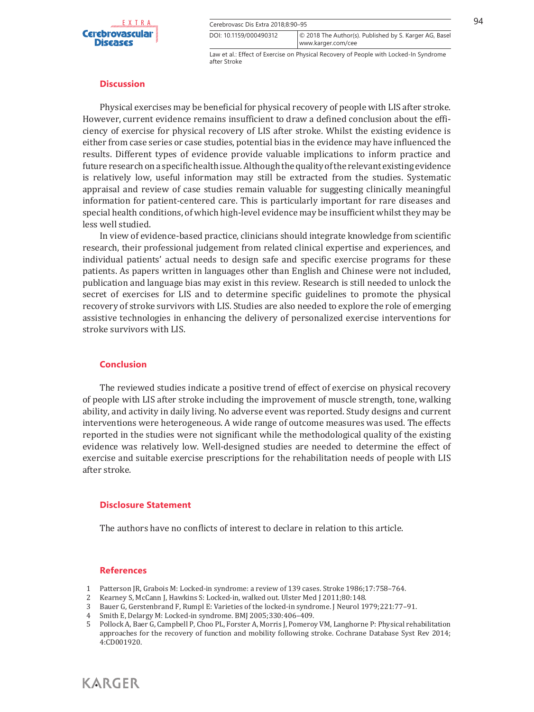

 $\overline{\text{Cerebrovasc Dis Extra 2018:8:90–95}}$  94 www.karger.com/cee DOI: 10.1159/000490312 © 2018 The Author(s). Published by S. Karger AG, Basel

Law et al.: Effect of Exercise on Physical Recovery of People with Locked-In Syndrome after Stroke

#### **Discussion**

Physical exercises may be beneficial for physical recovery of people with LIS after stroke. However, current evidence remains insufficient to draw a defined conclusion about the efficiency of exercise for physical recovery of LIS after stroke. Whilst the existing evidence is either from case series or case studies, potential bias in the evidence may have influenced the results. Different types of evidence provide valuable implications to inform practice and future research on a specific health issue. Although the quality of the relevant existing evidence is relatively low, useful information may still be extracted from the studies. Systematic appraisal and review of case studies remain valuable for suggesting clinically meaningful information for patient-centered care. This is particularly important for rare diseases and special health conditions, of which high-level evidence may be insufficient whilst they may be less well studied.

In view of evidence-based practice, clinicians should integrate knowledge from scientific research, their professional judgement from related clinical expertise and experiences, and individual patients' actual needs to design safe and specific exercise programs for these patients. As papers written in languages other than English and Chinese were not included, publication and language bias may exist in this review. Research is still needed to unlock the secret of exercises for LIS and to determine specific guidelines to promote the physical recovery of stroke survivors with LIS. Studies are also needed to explore the role of emerging assistive technologies in enhancing the delivery of personalized exercise interventions for stroke survivors with LIS.

## **Conclusion**

The reviewed studies indicate a positive trend of effect of exercise on physical recovery of people with LIS after stroke including the improvement of muscle strength, tone, walking ability, and activity in daily living. No adverse event was reported. Study designs and current interventions were heterogeneous. A wide range of outcome measures was used. The effects reported in the studies were not significant while the methodological quality of the existing evidence was relatively low. Well-designed studies are needed to determine the effect of exercise and suitable exercise prescriptions for the rehabilitation needs of people with LIS after stroke.

#### **Disclosure Statement**

The authors have no conflicts of interest to declare in relation to this article.

#### **References**

- 1 Patterson JR, Grabois M: Locked-in syndrome: a review of 139 cases. Stroke 1986;17:758–764.
- 2 Kearney S, McCann J, Hawkins S: Locked-in, walked out. Ulster Med J 2011;80:148.<br>3 Bauer G, Gerstenbrand F, Rumpl E: Varieties of the locked-in syndrome. J Neurol 1
- Bauer G, Gerstenbrand F, Rumpl E: Varieties of the locked-in syndrome. J Neurol 1979;221:77-91.
- 4 Smith E, Delargy M: Locked-in syndrome. BMJ 2005;330:406–409.
- Pollock A, Baer G, Campbell P, Choo PL, Forster A, Morris J, Pomeroy VM, Langhorne P: Physical rehabilitation approaches for the recovery of function and mobility following stroke. Cochrane Database Syst Rev 2014; 4:CD001920.